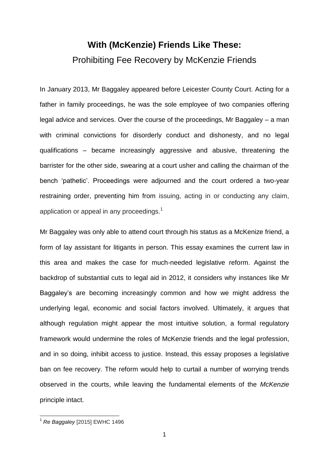# **With (McKenzie) Friends Like These:**  Prohibiting Fee Recovery by McKenzie Friends

In January 2013, Mr Baggaley appeared before Leicester County Court. Acting for a father in family proceedings, he was the sole employee of two companies offering legal advice and services. Over the course of the proceedings, Mr Baggaley – a man with criminal convictions for disorderly conduct and dishonesty, and no legal qualifications – became increasingly aggressive and abusive, threatening the barrister for the other side, swearing at a court usher and calling the chairman of the bench 'pathetic'. Proceedings were adjourned and the court ordered a two-year restraining order, preventing him from issuing, acting in or conducting any claim, application or appeal in any proceedings.<sup>1</sup>

Mr Baggaley was only able to attend court through his status as a McKenize friend, a form of lay assistant for litigants in person. This essay examines the current law in this area and makes the case for much-needed legislative reform. Against the backdrop of substantial cuts to legal aid in 2012, it considers why instances like Mr Baggaley's are becoming increasingly common and how we might address the underlying legal, economic and social factors involved. Ultimately, it argues that although regulation might appear the most intuitive solution, a formal regulatory framework would undermine the roles of McKenzie friends and the legal profession, and in so doing, inhibit access to justice. Instead, this essay proposes a legislative ban on fee recovery. The reform would help to curtail a number of worrying trends observed in the courts, while leaving the fundamental elements of the *McKenzie* principle intact.

<sup>1</sup> *Re Baggaley* [2015] EWHC 1496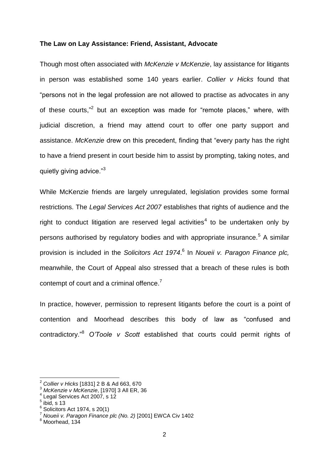### **The Law on Lay Assistance: Friend, Assistant, Advocate**

Though most often associated with *McKenzie v McKenzie*, lay assistance for litigants in person was established some 140 years earlier. *Collier v Hicks* found that "persons not in the legal profession are not allowed to practise as advocates in any of these courts,"<sup>2</sup> but an exception was made for "remote places," where, with judicial discretion, a friend may attend court to offer one party support and assistance. *McKenzie* drew on this precedent, finding that "every party has the right to have a friend present in court beside him to assist by prompting, taking notes, and quietly giving advice."3

While McKenzie friends are largely unregulated, legislation provides some formal restrictions. The *Legal Services Act 2007* establishes that rights of audience and the right to conduct litigation are reserved legal activities<sup>4</sup> to be undertaken only by persons authorised by regulatory bodies and with appropriate insurance.<sup>5</sup> A similar provision is included in the *Solicitors Act 1974*. 6 In *Noueii v. Paragon Finance plc,*  meanwhile, the Court of Appeal also stressed that a breach of these rules is both contempt of court and a criminal offence. $7$ 

In practice, however, permission to represent litigants before the court is a point of contention and Moorhead describes this body of law as "confused and contradictory." <sup>8</sup> *O'Toole v Scott* established that courts could permit rights of

<sup>2</sup> *Collier v Hicks* [1831] 2 B & Ad 663, 670

<sup>3</sup> *McKenzie v McKenzie*, [1970] 3 All ER, 36

<sup>4</sup> Legal Services Act 2007, s 12

 $^5$  ibid, s 13

 $6$  Solicitors Act 1974, s 20(1)

<sup>7</sup> *Noueii v. Paragon Finance plc (No. 2)* [2001] EWCA Civ 1402

 $8$  Moorhead, 134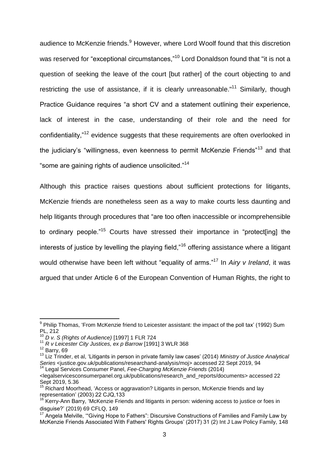audience to McKenzie friends.<sup>9</sup> However, where Lord Woolf found that this discretion was reserved for "exceptional circumstances."<sup>10</sup> Lord Donaldson found that "it is not a question of seeking the leave of the court [but rather] of the court objecting to and restricting the use of assistance, if it is clearly unreasonable. $11$ <sup>11</sup> Similarly, though Practice Guidance requires "a short CV and a statement outlining their experience, lack of interest in the case, understanding of their role and the need for confidentiality,"<sup>12</sup> evidence suggests that these requirements are often overlooked in the judiciary's "willingness, even keenness to permit McKenzie Friends"<sup>13</sup> and that "some are gaining rights of audience unsolicited."<sup>14</sup>

Although this practice raises questions about sufficient protections for litigants, McKenzie friends are nonetheless seen as a way to make courts less daunting and help litigants through procedures that "are too often inaccessible or incomprehensible to ordinary people.<sup>"15</sup> Courts have stressed their importance in "protect[ing] the interests of justice by levelling the playing field,"<sup>16</sup> offering assistance where a litigant would otherwise have been left without "equality of arms."<sup>17</sup> In *Airy v Ireland*, it was argued that under Article 6 of the European Convention of Human Rights, the right to

 9 Philip Thomas, 'From McKenzie friend to Leicester assistant: the impact of the poll tax' (1992) Sum PL, 212

<sup>10</sup> *D v. S (Rights of Audience)* [1997] 1 FLR 724

<sup>11</sup> *R v Leicester City Justices, ex p Barrow* [1991] 3 WLR 368

 $12$  Barry, 69

<sup>13</sup> Liz Trinder, et al, 'Litigants in person in private family law cases' (2014) *Ministry of Justice Analytical Series* <justice.gov.uk/publications/researchand-analysis/moj> accessed 22 Sept 2019, 94

<sup>14</sup> Legal Services Consumer Panel, *Fee-Charging McKenzie Friends* (2014)

<sup>&</sup>lt;legalservicesconsumerpanel.org.uk/publications/research\_and\_reports/documents> accessed 22 Sept 2019, 5.36

 $15$  Richard Moorhead, 'Access or aggravation? Litigants in person, McKenzie friends and lay representation' (2003) 22 CJQ,133

<sup>&</sup>lt;sup>16</sup> Kerry-Ann Barry, 'McKenzie Friends and litigants in person: widening access to justice or foes in disguise?' (2019) 69 CFLQ, 149

<sup>&</sup>lt;sup>17</sup> Angela Melville, "Giving Hope to Fathers": Discursive Constructions of Families and Family Law by McKenzie Friends Associated With Fathers' Rights Groups' (2017) 31 (2) Int J Law Policy Family, 148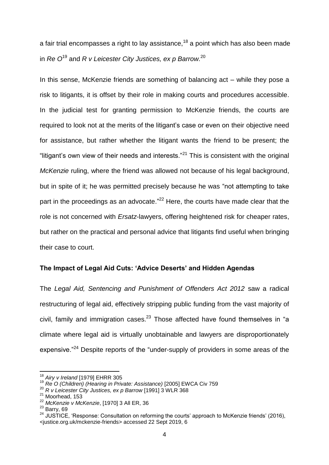a fair trial encompasses a right to lay assistance,  $18$  a point which has also been made in *Re O*<sup>19</sup> and *R v Leicester City Justices, ex p Barrow.*<sup>20</sup>

In this sense, McKenzie friends are something of balancing act – while they pose a risk to litigants, it is offset by their role in making courts and procedures accessible. In the judicial test for granting permission to McKenzie friends, the courts are required to look not at the merits of the litigant's case or even on their objective need for assistance, but rather whether the litigant wants the friend to be present; the "litigant's own view of their needs and interests."<sup>21</sup> This is consistent with the original *McKenzie* ruling, where the friend was allowed not because of his legal background, but in spite of it; he was permitted precisely because he was "not attempting to take part in the proceedings as an advocate."<sup>22</sup> Here, the courts have made clear that the role is not concerned with *Ersatz-*lawyers, offering heightened risk for cheaper rates, but rather on the practical and personal advice that litigants find useful when bringing their case to court.

### **The Impact of Legal Aid Cuts: 'Advice Deserts' and Hidden Agendas**

The *Legal Aid, Sentencing and Punishment of Offenders Act 2012* saw a radical restructuring of legal aid, effectively stripping public funding from the vast majority of civil, family and immigration cases.<sup>23</sup> Those affected have found themselves in "a climate where legal aid is virtually unobtainable and lawyers are disproportionately expensive."<sup>24</sup> Despite reports of the "under-supply of providers in some areas of the

<sup>18</sup> *Airy v Ireland* [1979] EHRR 305

<sup>19</sup> *Re O (Children) (Hearing in Private: Assistance)* [2005] EWCA Civ 759

<sup>20</sup> *R v Leicester City Justices, ex p Barrow* [1991] 3 WLR 368

<sup>&</sup>lt;sup>21</sup> Moorhead, 153

<sup>22</sup> *McKenzie v McKenzie*, [1970] 3 All ER, 36

 $23$  Barry, 69

<sup>&</sup>lt;sup>24</sup> JUSTICE, 'Response: Consultation on reforming the courts' approach to McKenzie friends' (2016), <justice.org.uk/mckenzie-friends> accessed 22 Sept 2019, 6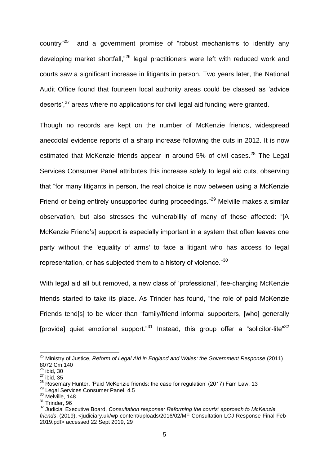country"<sup>25</sup> and a government promise of "robust mechanisms to identify any developing market shortfall,"<sup>26</sup> legal practitioners were left with reduced work and courts saw a significant increase in litigants in person. Two years later, the National Audit Office found that fourteen local authority areas could be classed as 'advice deserts',<sup>27</sup> areas where no applications for civil legal aid funding were granted.

Though no records are kept on the number of McKenzie friends, widespread anecdotal evidence reports of a sharp increase following the cuts in 2012. It is now estimated that McKenzie friends appear in around 5% of civil cases.<sup>28</sup> The Legal Services Consumer Panel attributes this increase solely to legal aid cuts, observing that "for many litigants in person, the real choice is now between using a McKenzie Friend or being entirely unsupported during proceedings."<sup>29</sup> Melville makes a similar observation, but also stresses the vulnerability of many of those affected: "[A McKenzie Friend's] support is especially important in a system that often leaves one party without the 'equality of arms' to face a litigant who has access to legal representation, or has subjected them to a history of violence."<sup>30</sup>

With legal aid all but removed, a new class of 'professional', fee-charging McKenzie friends started to take its place. As Trinder has found, "the role of paid McKenzie Friends tend[s] to be wider than "family/friend informal supporters, [who] generally [provide] quiet emotional support." $31$  Instead, this group offer a "solicitor-lite" $32$ 

<sup>25</sup> Ministry of Justice, *Reform of Legal Aid in England and Wales: the Government Response* (2011) 8072 Cm,140

 $26$  ibid, 30  $27$  ibid, 35

<sup>28</sup> Rosemary Hunter, 'Paid McKenzie friends: the case for regulation' (2017) Fam Law, 13

<sup>&</sup>lt;sup>29</sup> Legal Services Consumer Panel, 4.5

 $30$  Melville, 148

<sup>31</sup> Trinder, 96

<sup>32</sup> Judicial Executive Board, *Consultation response: Reforming the courts' approach to McKenzie friends*, (2019), <judiciary.uk/wp-content/uploads/2016/02/MF-Consultation-LCJ-Response-Final-Feb-2019.pdf> accessed 22 Sept 2019, 29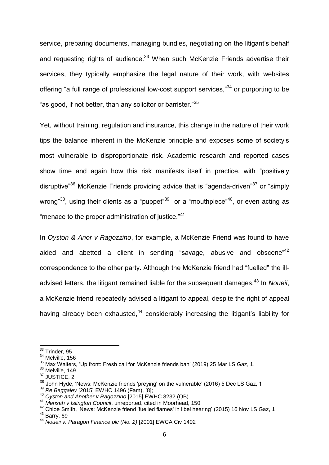service, preparing documents, managing bundles, negotiating on the litigant's behalf and requesting rights of audience. $33$  When such McKenzie Friends advertise their services, they typically emphasize the legal nature of their work, with websites offering "a full range of professional low-cost support services,"<sup>34</sup> or purporting to be "as good, if not better, than any solicitor or barrister."<sup>35</sup>

Yet, without training, regulation and insurance, this change in the nature of their work tips the balance inherent in the McKenzie principle and exposes some of society's most vulnerable to disproportionate risk. Academic research and reported cases show time and again how this risk manifests itself in practice, with "positively disruptive"<sup>36</sup> McKenzie Friends providing advice that is "agenda-driven"<sup>37</sup> or "simply wrong"<sup>38</sup>, using their clients as a "puppet"<sup>39</sup> or a "mouthpiece"<sup>40</sup>, or even acting as "menace to the proper administration of justice."<sup>41</sup>

In *Oyston & Anor v Ragozzino*, for example, a McKenzie Friend was found to have aided and abetted a client in sending "savage, abusive and obscene"<sup>42</sup> correspondence to the other party. Although the McKenzie friend had "fuelled" the illadvised letters, the litigant remained liable for the subsequent damages. <sup>43</sup> In *Noueii*, a McKenzie friend repeatedly advised a litigant to appeal, despite the right of appeal having already been exhausted.<sup>44</sup> considerably increasing the litigant's liability for

<sup>&</sup>lt;sup>33</sup> Trinder, 95

<sup>&</sup>lt;sup>34</sup> Melville, 156

<sup>35</sup> Max Walters, 'Up front: Fresh call for McKenzie friends ban' (2019) 25 Mar LS Gaz, 1.

<sup>&</sup>lt;sup>36</sup> Melville, 149

<sup>&</sup>lt;sup>37</sup> JUSTICE, 2

 $38$  John Hyde, 'News: McKenzie friends 'preying' on the vulnerable' (2016) 5 Dec LS Gaz, 1

<sup>39</sup> *Re Baggaley* [2015] EWHC 1496 (Fam), [8];

<sup>40</sup> *Oyston and Another v Ragozzino* [2015] EWHC 3232 (QB)

<sup>41</sup> *Mensah v Islington Council*, unreported, cited in Moorhead, 150

<sup>42</sup> Chloe Smith, 'News: McKenzie friend 'fuelled flames' in libel hearing' (2015) 16 Nov LS Gaz, 1

<sup>43</sup> Barry, 69

<sup>44</sup> *Noueii v. Paragon Finance plc (No. 2)* [2001] EWCA Civ 1402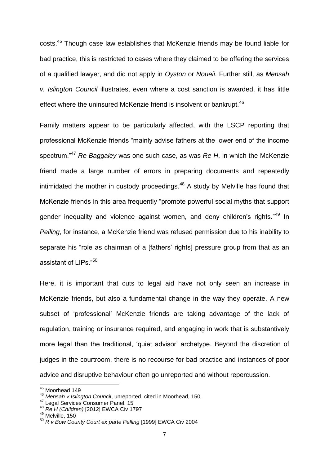costs.<sup>45</sup> Though case law establishes that McKenzie friends may be found liable for bad practice, this is restricted to cases where they claimed to be offering the services of a qualified lawyer, and did not apply in *Oyston* or *Noueii*. Further still, as *Mensah v. Islington Council* illustrates, even where a cost sanction is awarded, it has little effect where the uninsured McKenzie friend is insolvent or bankrupt.<sup>46</sup>

Family matters appear to be particularly affected, with the LSCP reporting that professional McKenzie friends "mainly advise fathers at the lower end of the income spectrum."<sup>47</sup> *Re Baggaley* was one such case, as was *Re H*, in which the McKenzie friend made a large number of errors in preparing documents and repeatedly intimidated the mother in custody proceedings.<sup>48</sup> A study by Melville has found that McKenzie friends in this area frequently "promote powerful social myths that support gender inequality and violence against women, and deny children's rights."<sup>49</sup> In *Pelling*, for instance, a McKenzie friend was refused permission due to his inability to separate his "role as chairman of a [fathers' rights] pressure group from that as an assistant of LIPs."<sup>50</sup>

Here, it is important that cuts to legal aid have not only seen an increase in McKenzie friends, but also a fundamental change in the way they operate. A new subset of 'professional' McKenzie friends are taking advantage of the lack of regulation, training or insurance required, and engaging in work that is substantively more legal than the traditional, 'quiet advisor' archetype. Beyond the discretion of judges in the courtroom, there is no recourse for bad practice and instances of poor advice and disruptive behaviour often go unreported and without repercussion.

<sup>&</sup>lt;sup>45</sup> Moorhead 149

<sup>46</sup> *Mensah v Islington Council*, unreported, cited in Moorhead, 150.

AT Legal Services Consumer Panel, 15

<sup>48</sup> *Re H (Children)* [2012] EWCA Civ 1797

<sup>&</sup>lt;sup>49</sup> Melville, 150

<sup>50</sup> *R v Bow County Court ex parte Pelling* [1999] EWCA Civ 2004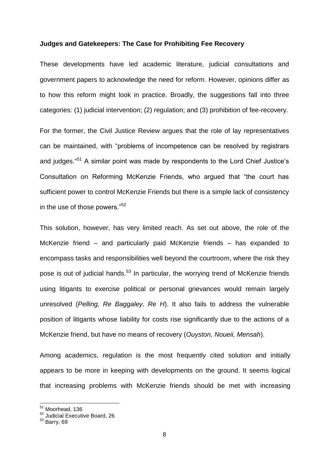#### **Judges and Gatekeepers: The Case for Prohibiting Fee Recovery**

These developments have led academic literature, judicial consultations and government papers to acknowledge the need for reform. However, opinions differ as to how this reform might look in practice. Broadly, the suggestions fall into three categories: (1) judicial intervention; (2) regulation; and (3) prohibition of fee-recovery.

For the former, the Civil Justice Review argues that the role of lay representatives can be maintained, with "problems of incompetence can be resolved by registrars and judges."<sup>51</sup> A similar point was made by respondents to the Lord Chief Justice's Consultation on Reforming McKenzie Friends, who argued that "the court has sufficient power to control McKenzie Friends but there is a simple lack of consistency in the use of those powers."<sup>52</sup>

This solution, however, has very limited reach. As set out above, the role of the McKenzie friend – and particularly paid McKenzie friends – has expanded to encompass tasks and responsibilities well beyond the courtroom, where the risk they pose is out of judicial hands.<sup>53</sup> In particular, the worrying trend of McKenzie friends using litigants to exercise political or personal grievances would remain largely unresolved (*Pelling, Re Baggaley, Re H*). It also fails to address the vulnerable position of litigants whose liability for costs rise significantly due to the actions of a McKenzie friend, but have no means of recovery (*Ouyston, Noueii, Mensah*).

Among academics, regulation is the most frequently cited solution and initially appears to be more in keeping with developments on the ground. It seems logical that increasing problems with McKenzie friends should be met with increasing

1

<sup>&</sup>lt;sup>51</sup> Moorhead, 136

<sup>52</sup> Judicial Executive Board, 26

 $53$  Barry, 69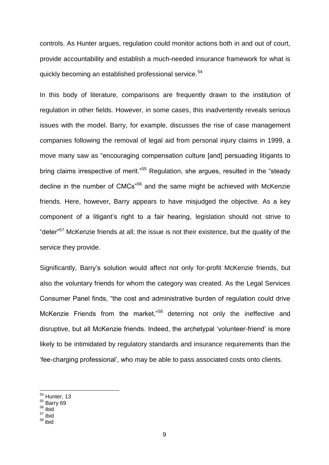controls. As Hunter argues, regulation could monitor actions both in and out of court, provide accountability and establish a much-needed insurance framework for what is quickly becoming an established professional service.<sup>54</sup>

In this body of literature, comparisons are frequently drawn to the institution of regulation in other fields. However, in some cases, this inadvertently reveals serious issues with the model. Barry, for example, discusses the rise of case management companies following the removal of legal aid from personal injury claims in 1999, a move many saw as "encouraging compensation culture [and] persuading litigants to bring claims irrespective of merit."<sup>55</sup> Regulation, she argues, resulted in the "steady decline in the number of CMCs<sup>"56</sup> and the same might be achieved with McKenzie friends. Here, however, Barry appears to have misjudged the objective. As a key component of a litigant's right to a fair hearing, legislation should not strive to "deter"<sup>57</sup> McKenzie friends at all; the issue is not their existence, but the quality of the service they provide.

Significantly, Barry's solution would affect not only for-profit McKenzie friends, but also the voluntary friends for whom the category was created. As the Legal Services Consumer Panel finds, "the cost and administrative burden of regulation could drive McKenzie Friends from the market,"<sup>58</sup> deterring not only the ineffective and disruptive, but all McKenzie friends. Indeed, the archetypal 'volunteer-friend' is more likely to be intimidated by regulatory standards and insurance requirements than the 'fee-charging professional', who may be able to pass associated costs onto clients.

<sup>56</sup> ibid

**.** 

<sup>57</sup> ibid

<sup>&</sup>lt;sup>54</sup> Hunter, 13

 $55$  Barry 69

<sup>58</sup> ibid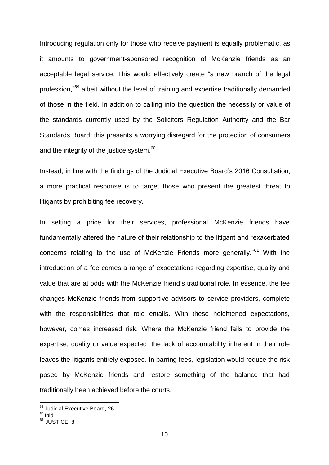Introducing regulation only for those who receive payment is equally problematic, as it amounts to government-sponsored recognition of McKenzie friends as an acceptable legal service. This would effectively create "a new branch of the legal profession,"<sup>59</sup> albeit without the level of training and expertise traditionally demanded of those in the field. In addition to calling into the question the necessity or value of the standards currently used by the Solicitors Regulation Authority and the Bar Standards Board, this presents a worrying disregard for the protection of consumers and the integrity of the justice system.<sup>60</sup>

Instead, in line with the findings of the Judicial Executive Board's 2016 Consultation, a more practical response is to target those who present the greatest threat to litigants by prohibiting fee recovery.

In setting a price for their services, professional McKenzie friends have fundamentally altered the nature of their relationship to the litigant and "exacerbated concerns relating to the use of McKenzie Friends more generally."<sup>61</sup> With the introduction of a fee comes a range of expectations regarding expertise, quality and value that are at odds with the McKenzie friend's traditional role. In essence, the fee changes McKenzie friends from supportive advisors to service providers, complete with the responsibilities that role entails. With these heightened expectations, however, comes increased risk. Where the McKenzie friend fails to provide the expertise, quality or value expected, the lack of accountability inherent in their role leaves the litigants entirely exposed. In barring fees, legislation would reduce the risk posed by McKenzie friends and restore something of the balance that had traditionally been achieved before the courts.

<sup>&</sup>lt;sup>59</sup> Judicial Executive Board, 26

<sup>&</sup>lt;sup>60</sup> Ibid

 $61$  JUSTICE, 8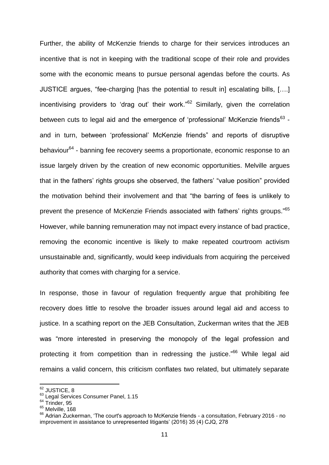Further, the ability of McKenzie friends to charge for their services introduces an incentive that is not in keeping with the traditional scope of their role and provides some with the economic means to pursue personal agendas before the courts. As JUSTICE argues, "fee-charging [has the potential to result in] escalating bills, [….] incentivising providers to 'drag out' their work."<sup>62</sup> Similarly, given the correlation between cuts to legal aid and the emergence of 'professional' McKenzie friends $^{63}$  and in turn, between 'professional' McKenzie friends" and reports of disruptive behaviour<sup>64</sup> - banning fee recovery seems a proportionate, economic response to an issue largely driven by the creation of new economic opportunities. Melville argues that in the fathers' rights groups she observed, the fathers' "value position" provided the motivation behind their involvement and that "the barring of fees is unlikely to prevent the presence of McKenzie Friends associated with fathers' rights groups."<sup>65</sup> However, while banning remuneration may not impact every instance of bad practice, removing the economic incentive is likely to make repeated courtroom activism unsustainable and, significantly, would keep individuals from acquiring the perceived authority that comes with charging for a service.

In response, those in favour of regulation frequently argue that prohibiting fee recovery does little to resolve the broader issues around legal aid and access to justice. In a scathing report on the JEB Consultation, Zuckerman writes that the JEB was "more interested in preserving the monopoly of the legal profession and protecting it from competition than in redressing the justice."<sup>66</sup> While legal aid remains a valid concern, this criticism conflates two related, but ultimately separate

 $^{62}$  JUSTICE, 8

<sup>63</sup> Legal Services Consumer Panel, 1.15

 $64$  Trinder, 95

<sup>&</sup>lt;sup>65</sup> Melville, 168

<sup>&</sup>lt;sup>66</sup> Adrian Zuckerman, 'The court's approach to McKenzie friends - a consultation, February 2016 - no improvement in assistance to unrepresented litigants' (2016) 35 (4) CJQ, 278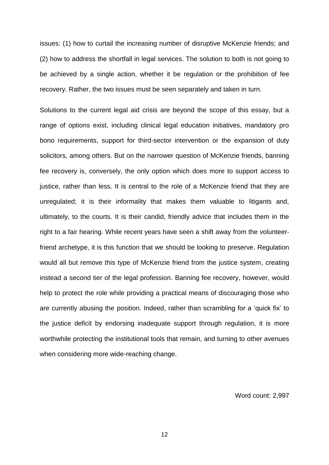issues: (1) how to curtail the increasing number of disruptive McKenzie friends; and (2) how to address the shortfall in legal services. The solution to both is not going to be achieved by a single action, whether it be regulation or the prohibition of fee recovery. Rather, the two issues must be seen separately and taken in turn.

Solutions to the current legal aid crisis are beyond the scope of this essay, but a range of options exist, including clinical legal education initiatives, mandatory pro bono requirements, support for third-sector intervention or the expansion of duty solicitors, among others. But on the narrower question of McKenzie friends, banning fee recovery is, conversely, the only option which does more to support access to justice, rather than less. It is central to the role of a McKenzie friend that they are unregulated; it is their informality that makes them valuable to litigants and, ultimately, to the courts. It is their candid, friendly advice that includes them in the right to a fair hearing. While recent years have seen a shift away from the volunteerfriend archetype, it is this function that we should be looking to preserve. Regulation would all but remove this type of McKenzie friend from the justice system, creating instead a second tier of the legal profession. Banning fee recovery, however, would help to protect the role while providing a practical means of discouraging those who are currently abusing the position. Indeed, rather than scrambling for a 'quick fix' to the justice deficit by endorsing inadequate support through regulation, it is more worthwhile protecting the institutional tools that remain, and turning to other avenues when considering more wide-reaching change.

Word count: 2,997

12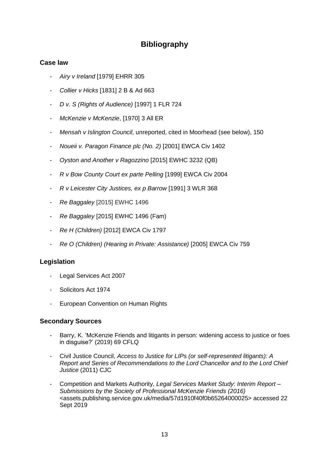# **Bibliography**

## **Case law**

- *- Airy v Ireland* [1979] EHRR 305
- *- Collier v Hicks* [1831] 2 B & Ad 663
- *- D v. S (Rights of Audience)* [1997] 1 FLR 724
- *- McKenzie v McKenzie*, [1970] 3 All ER
- *- Mensah v Islington Council*, unreported, cited in Moorhead (see below), 150
- *- Noueii v. Paragon Finance plc (No. 2)* [2001] EWCA Civ 1402
- *- Oyston and Another v Ragozzino* [2015] EWHC 3232 (QB)
- *- R v Bow County Court ex parte Pelling* [1999] EWCA Civ 2004
- *- R v Leicester City Justices, ex p Barrow* [1991] 3 WLR 368
- *- Re Baggaley* [2015] EWHC 1496
- *- Re Baggaley* [2015] EWHC 1496 (Fam)
- *- Re H (Children)* [2012] EWCA Civ 1797
- *- Re O (Children) (Hearing in Private: Assistance)* [2005] EWCA Civ 759

### **Legislation**

- *-* Legal Services Act 2007
- *-* Solicitors Act 1974
- *-* European Convention on Human Rights

### **Secondary Sources**

- *-* Barry, K. 'McKenzie Friends and litigants in person: widening access to justice or foes in disguise?' (2019) 69 CFLQ
- *-* Civil Justice Council, *Access to Justice for LIPs (or self-represented litigants): A Report and Series of Recommendations to the Lord Chancellor and to the Lord Chief Justice* (2011) CJC
- *-* Competition and Markets Authority, *Legal Services Market Study: Interim Report – Submissions by the Society of Professional McKenzie Friends (2016)* <assets.publishing.service.gov.uk/media/57d1910f40f0b65264000025> accessed 22 Sept 2019